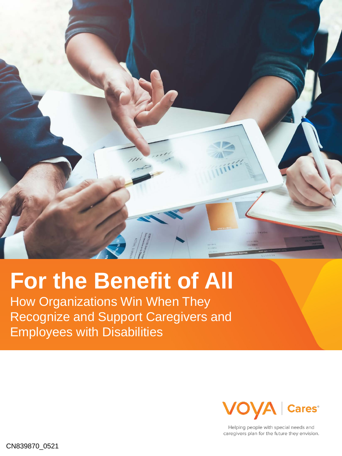

# **For the Benefit of All**

How Organizations Win When They Recognize and Support Caregivers and Employees with Disabilities



Helping people with special needs and caregivers plan for the future they envision.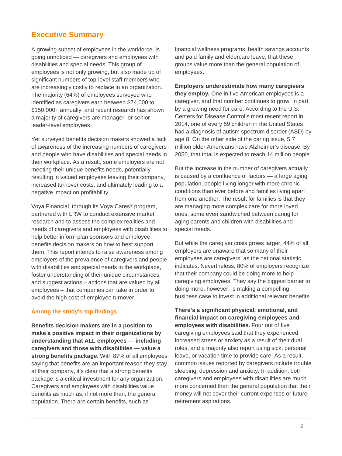# **Executive Summary**

A growing subset of employees in the workforce is going unnoticed — caregivers and employees with disabilities and special needs. This group of employees is not only growing, but also made up of significant numbers of top-level staff members who are increasingly costly to replace in an organization. The majority (64%) of employees surveyed who identified as caregivers earn between \$74,000 to \$150,000+ annually, and recent research has shown a majority of caregivers are manager- or seniorleader-level employees.

Yet surveyed benefits decision makers showed a lack of awareness of the increasing numbers of caregivers and people who have disabilities and special needs in their workplace. As a result, some employers are not meeting their unique benefits needs, potentially resulting in valued employees leaving their company, increased turnover costs, and ultimately leading to a negative impact on profitability.

Voya Financial, through its Voya Cares® program, partnered with LRW to conduct extensive market research and to assess the complex realities and needs of caregivers and employees with disabilities to help better inform plan sponsors and employee benefits decision makers on how to best support them. This report intends to raise awareness among employers of the prevalence of caregivers and people with disabilities and special needs in the workplace, foster understanding of their unique circumstances, and suggest actions – actions that are valued by all employees – that companies can take in order to avoid the high cost of employee turnover.

### **Among the study's top findings**

**Benefits decision makers are in a position to make a positive impact in their organizations by understanding that ALL employees — including caregivers and those with disabilities — value a strong benefits package.** With 87% of all employees saying that benefits are an important reason they stay at their company, it's clear that a strong benefits package is a critical investment for any organization. Caregivers and employees with disabilities value benefits as much as, if not more than, the general population. There are certain benefits, such as

financial wellness programs, health savings accounts and paid family and eldercare leave, that these groups value more than the general population of employees.

**Employers underestimate how many caregivers they employ.** One in five American employees is a caregiver, and that number continues to grow, in part by a growing need for care. According to the U.S. Centers for Disease Control's most recent report in 2014, one of every 59 children in the United States had a diagnosis of autism spectrum disorder (ASD) by age 8. On the other side of the caring issue, 5.7 million older Americans have Alzheimer's disease. By 2050, that total is expected to reach 14 million people.

But the increase in the number of caregivers actually is caused by a confluence of factors — a large aging population, people living longer with more chronic conditions than ever before and families living apart from one another. The result for families is that they are managing more complex care for more loved ones, some even sandwiched between caring for aging parents and children with disabilities and special needs.

But while the caregiver crisis grows larger, 44% of all employers are unaware that so many of their employees are caregivers, as the national statistic indicates. Nevertheless, 80% of employers recognize that their company could be doing more to help caregiving employees. They say the biggest barrier to doing more, however, is making a compelling business case to invest in additional relevant benefits.

**There's a significant physical, emotional, and financial impact on caregiving employees and employees with disabilities.** Four out of five caregiving employees said that they experienced increased stress or anxiety as a result of their dual roles, and a majority also report using sick, personal leave, or vacation time to provide care. As a result, common issues reported by caregivers include trouble sleeping, depression and anxiety. In addition, both caregivers and employees with disabilities are much more concerned than the general population that their money will not cover their current expenses or future retirement aspirations.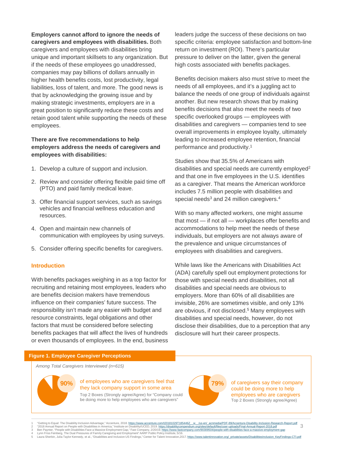# **Employers cannot afford to ignore the needs of**

**caregivers and employees with disabilities.** Both caregivers and employees with disabilities bring unique and important skillsets to any organization. But if the needs of these employees go unaddressed, companies may pay billions of dollars annually in higher health benefits costs, lost productivity, legal liabilities, loss of talent, and more. The good news is that by acknowledging the growing issue and by making strategic investments, employers are in a great position to significantly reduce these costs and retain good talent while supporting the needs of these employees.

### **There are five recommendations to help employers address the needs of caregivers and employees with disabilities:**

- 1. Develop a culture of support and inclusion.
- 2. Review and consider offering flexible paid time off (PTO) and paid family medical leave.
- 3. Offer financial support services, such as savings vehicles and financial wellness education and resources.
- 4. Open and maintain new channels of communication with employees by using surveys.
- 5. Consider offering specific benefits for caregivers.

### **Introduction**

With benefits packages weighing in as a top factor for recruiting and retaining most employees, leaders who are benefits decision makers have tremendous influence on their companies' future success. The responsibility isn't made any easier with budget and resource constraints, legal obligations and other factors that must be considered before selecting benefits packages that will affect the lives of hundreds or even thousands of employees. In the end, business leaders judge the success of these decisions on two specific criteria: employee satisfaction and bottom-line return on investment (ROI). There's particular pressure to deliver on the latter, given the general high costs associated with benefits packages.

Benefits decision makers also must strive to meet the needs of all employees, and it's a juggling act to balance the needs of one group of individuals against another. But new research shows that by making benefits decisions that also meet the needs of two specific overlooked groups — employees with disabilities and caregivers — companies tend to see overall improvements in employee loyalty, ultimately leading to increased employee retention, financial performance and productivity.1

Studies show that 35.5% of Americans with disabilities and special needs are currently employed<sup>2</sup> and that one in five employees in the U.S. identifies as a caregiver. That means the American workforce includes 7.5 million people with disabilities and special needs<sup>3</sup> and 24 million caregivers.<sup>4</sup>

With so many affected workers, one might assume that most — if not all — workplaces offer benefits and accommodations to help meet the needs of these individuals, but employers are not always aware of the prevalence and unique circumstances of employees with disabilities and caregivers.

While laws like the Americans with Disabilities Act (ADA) carefully spell out employment protections for those with special needs and disabilities, not all disabilities and special needs are obvious to employers. More than 60% of all disabilities are invisible, 26% are sometimes visible, and only 13% are obvious, if not disclosed.<sup>5</sup> Many employees with disabilities and special needs, however, do not disclose their disabilities, due to a perception that any disclosure will hurt their career prospects.

### **Figure 1. Employee Caregiver Perceptions**

*Among Total Caregivers Interviewed (n=615)*



### **90%** of employees who are caregivers feel that **79%** they lack company support in some area

Top 2 Boxes (Strongly agree/Agree) for "Company could be doing more to help employees who are caregivers"



of caregivers say their company could be doing more to help employees who are caregivers Top 2 Boxes (Strongly agree/Agree)

- 1 "Getting to Equal: The Disability Inclusion Advantage," Accenture, 2018. https://www.accenture.com/201811029T185442\_ www.assemit.org/2019.html?DF-89Accentur-Disability-inclusion-Research-Report,pdf<br>2 "Getting American C
-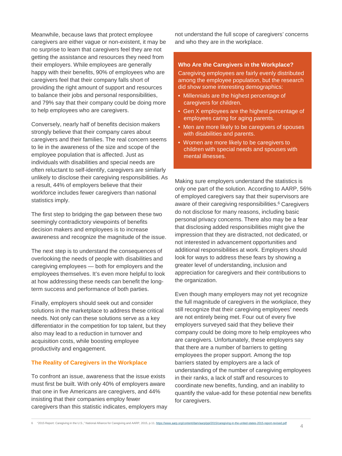Meanwhile, because laws that protect employee caregivers are either vague or non-existent, it may be no surprise to learn that caregivers feel they are not getting the assistance and resources they need from their employers. While employees are generally happy with their benefits, 90% of employees who are caregivers feel that their company falls short of providing the right amount of support and resources to balance their jobs and personal responsibilities, and 79% say that their company could be doing more to help employees who are caregivers.

Conversely, nearly half of benefits decision makers strongly believe that their company cares about caregivers and their families. The real concern seems to lie in the awareness of the size and scope of the employee population that is affected. Just as individuals with disabilities and special needs are often reluctant to self-identify, caregivers are similarly unlikely to disclose their caregiving responsibilities. As a result, 44% of employers believe that their workforce includes fewer caregivers than national statistics imply.

The first step to bridging the gap between these two seemingly contradictory viewpoints of benefits decision makers and employees is to increase awareness and recognize the magnitude of the issue.

The next step is to understand the consequences of overlooking the needs of people with disabilities and caregiving employees — both for employers and the employees themselves. It's even more helpful to look at how addressing these needs can benefit the longterm success and performance of both parties.

Finally, employers should seek out and consider solutions in the marketplace to address these critical needs. Not only can these solutions serve as a key differentiator in the competition for top talent, but they also may lead to a reduction in turnover and acquisition costs, while boosting employee productivity and engagement.

### **The Reality of Caregivers in the Workplace**

To confront an issue, awareness that the issue exists must first be built. With only 40% of employers aware that one in five Americans are caregivers, and 44% insisting that their companies employ fewer caregivers than this statistic indicates, employers may not understand the full scope of caregivers' concerns and who they are in the workplace.

### **Who Are the Caregivers in the Workplace?**

Caregiving employees are fairly evenly distributed among the employee population, but the research did show some interesting demographics:

- Millennials are the highest percentage of caregivers for children.
- Gen X employees are the highest percentage of employees caring for aging parents.
- Men are more likely to be caregivers of spouses with disabilities and parents.
- Women are more likely to be caregivers to children with special needs and spouses with mental illnesses.

Making sure employers understand the statistics is only one part of the solution. According to AARP, 56% of employed caregivers say that their supervisors are aware of their caregiving responsibilities.<sup>6</sup> Caregivers do not disclose for many reasons, including basic personal privacy concerns. There also may be a fear that disclosing added responsibilities might give the impression that they are distracted, not dedicated, or not interested in advancement opportunities and additional responsibilities at work. Employers should look for ways to address these fears by showing a greater level of understanding, inclusion and appreciation for caregivers and their contributions to the organization.

Even though many employers may not yet recognize the full magnitude of caregivers in the workplace, they still recognize that their caregiving employees' needs are not entirely being met. Four out of every five employers surveyed said that they believe their company could be doing more to help employees who are caregivers. Unfortunately, these employers say that there are a number of barriers to getting employees the proper support. Among the top barriers stated by employers are a lack of understanding of the number of caregiving employees in their ranks, a lack of staff and resources to coordinate new benefits, funding, and an inability to quantify the value-add for these potential new benefits for caregivers.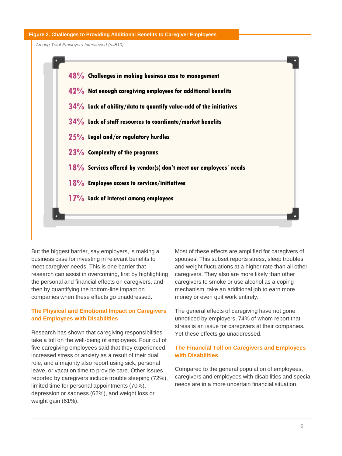### **Figure 2. Challenges to Providing Additional Benefits to Caregiver Employees**

*Among Total Employers Interviewed (n=510)*



But the biggest barrier, say employers, is making a business case for investing in relevant benefits to meet caregiver needs. This is one barrier that research can assist in overcoming, first by highlighting the personal and financial effects on caregivers, and then by quantifying the bottom-line impact on companies when these effects go unaddressed.

# **The Physical and Emotional Impact on Caregivers and Employees with Disabilities**

Research has shown that caregiving responsibilities take a toll on the well-being of employees. Four out of five caregiving employees said that they experienced increased stress or anxiety as a result of their dual role, and a majority also report using sick, personal leave, or vacation time to provide care. Other issues reported by caregivers include trouble sleeping (72%), limited time for personal appointments (70%), depression or sadness (62%), and weight loss or weight gain (61%).

Most of these effects are amplified for caregivers of spouses. This subset reports stress, sleep troubles and weight fluctuations at a higher rate than all other caregivers. They also are more likely than other caregivers to smoke or use alcohol as a coping mechanism, take an additional job to earn more money or even quit work entirely.

The general effects of caregiving have not gone unnoticed by employers, 74% of whom report that stress is an issue for caregivers at their companies. Yet these effects go unaddressed.

# **The Financial Toll on Caregivers and Employees with Disabilities**

Compared to the general population of employees, caregivers and employees with disabilities and special needs are in a more uncertain financial situation.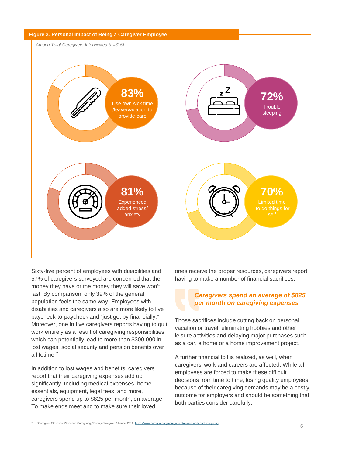

Sixty-five percent of employees with disabilities and 57% of caregivers surveyed are concerned that the money they have or the money they will save won't last. By comparison, only 39% of the general population feels the same way. Employees with disabilities and caregivers also are more likely to live paycheck-to-paycheck and "just get by financially." Moreover, one in five caregivers reports having to quit work entirely as a result of caregiving responsibilities, which can potentially lead to more than \$300,000 in lost wages, social security and pension benefits over a lifetime.7

In addition to lost wages and benefits, caregivers report that their caregiving expenses add up significantly. Including medical expenses, home essentials, equipment, legal fees, and more, caregivers spend up to \$825 per month, on average. To make ends meet and to make sure their loved

ones receive the proper resources, caregivers report having to make a number of financial sacrifices.

# *Caregivers spend an average of \$825 per month on caregiving expenses*

Those sacrifices include cutting back on personal vacation or travel, eliminating hobbies and other leisure activities and delaying major purchases such as a car, a home or a home improvement project.

A further financial toll is realized, as well, when caregivers' work and careers are affected. While all employees are forced to make these difficult decisions from time to time, losing quality employees because of their caregiving demands may be a costly outcome for employers and should be something that both parties consider carefully.

7 "Caregiver Statistics: Work and Caregiving," Family Caregiver Alliance, 2016. https://www.caregiver.org/caregiver-statistics-work-and-caregiving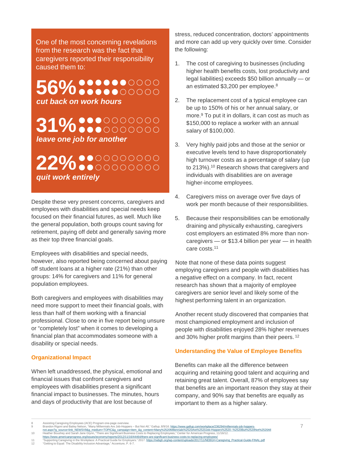One of the most concerning revelations from the research was the fact that caregivers reported their responsibility caused them to:

# 56% **.............** *cut back on work hours*

# **31% ....**00000000

*leave one job for another*

**22% •••••••••••** *quit work entirely*

Despite these very present concerns, caregivers and employees with disabilities and special needs keep focused on their financial futures, as well. Much like the general population, both groups count saving for retirement, paying off debt and generally saving more as their top three financial goals.

Employees with disabilities and special needs, however, also reported being concerned about paying off student loans at a higher rate (21%) than other groups: 14% for caregivers and 11% for general population employees.

Both caregivers and employees with disabilities may need more support to meet their financial goals, with less than half of them working with a financial professional. Close to one in five report being unsure or "completely lost" when it comes to developing a financial plan that accommodates someone with a disability or special needs.

# **Organizational Impact**

When left unaddressed, the physical, emotional and financial issues that confront caregivers and employees with disabilities present a significant financial impact to businesses. The minutes, hours and days of productivity that are lost because of

stress, reduced concentration, doctors' appointments and more can add up very quickly over time. Consider the following:

- 1. The cost of caregiving to businesses (including higher health benefits costs, lost productivity and legal liabilities) exceeds \$50 billion annually — or an estimated \$3,200 per employee.8
- 2. The replacement cost of a typical employee can be up to 150% of his or her annual salary, or more.9 To put it in dollars, it can cost as much as \$150,000 to replace a worker with an annual salary of \$100,000.
- 3. Very highly paid jobs and those at the senior or executive levels tend to have disproportionately high turnover costs as a percentage of salary (up to 213%).10 Research shows that caregivers and individuals with disabilities are on average higher-income employees.
- 4. Caregivers miss on average over five days of work per month because of their responsibilities.
- 5. Because their responsibilities can be emotionally draining and physically exhausting, caregivers cost employers an estimated 8% more than noncaregivers — or \$13.4 billion per year — in health care costs.11

Note that none of these data points suggest employing caregivers and people with disabilities has a negative effect on a company. In fact, recent research has shown that a majority of employee caregivers are senior level and likely some of the highest performing talent in an organization.

Another recent study discovered that companies that most championed employment and inclusion of people with disabilities enjoyed 28% higher revenues and 30% higher profit margins than their peers. <sup>12</sup>

### **Understanding the Value of Employee Benefits**

Benefits can make all the difference between acquiring and retaining good talent and acquiring and retaining great talent. Overall, 87% of employees say that benefits are an important reason they stay at their company, and 90% say that benefits are equally as important to them as a higher salary.

<sup>8</sup> Assisting Caregiving Employees (ACE) Program one-page overview.

Brandon Rigoni and Bailey Nelson, "Many Millennials Are Job-Hoppers – But Not All," Gallup, 8/9/16. https://www.gallup.com/workplace/236294/millennials-job-hoppers-<br>https://www.phillen.com/indials/indials/indials/indials/i

<sup>&</sup>lt;u>https://www.americanprogress.org/issues/economy/reports/2012/11/16/44464/there-are-significant-business-costs-to-replacing-employees/<br>"Supporting Caregiving in the Workplace: A Practical Guide for Employers." 2017. <u>http</u></u>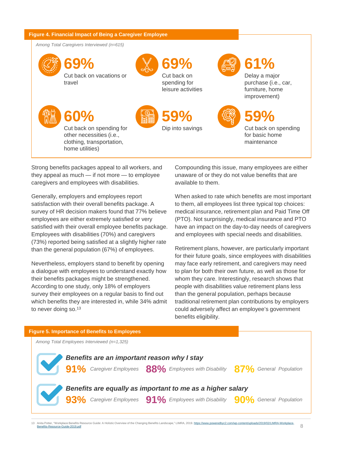### **Figure 4. Financial Impact of Being a Caregiver Employee**





Strong benefits packages appeal to all workers, and they appeal as much — if not more — to employee caregivers and employees with disabilities.

Generally, employers and employees report satisfaction with their overall benefits package. A survey of HR decision makers found that 77% believe employees are either extremely satisfied or very satisfied with their overall employee benefits package. Employees with disabilities (70%) and caregivers (73%) reported being satisfied at a slightly higher rate than the general population (67%) of employees.

Nevertheless, employers stand to benefit by opening a dialogue with employees to understand exactly how their benefits packages might be strengthened. According to one study, only 18% of employers survey their employees on a regular basis to find out which benefits they are interested in, while 34% admit to never doing so.<sup>13</sup>

Compounding this issue, many employees are either unaware of or they do not value benefits that are available to them.

When asked to rate which benefits are most important to them, all employees list three typical top choices: medical insurance, retirement plan and Paid Time Off (PTO). Not surprisingly, medical insurance and PTO have an impact on the day-to-day needs of caregivers and employees with special needs and disabilities.

Retirement plans, however, are particularly important for their future goals, since employees with disabilities may face early retirement, and caregivers may need to plan for both their own future, as well as those for whom they care. Interestingly, research shows that people with disabilities value retirement plans less than the general population, perhaps because traditional retirement plan contributions by employers could adversely affect an employee's government benefits eligibility.



13 Anita Potter, "Workplace Benefits Resource Guide: A Holistic Overview of the Changing Benefits Landscape," LIMRA, 2019. https://www.poweredbyc2.com/wp-content/uploads/2019/02/LIMRA-Workplace-Benefits-Resource-Guide-2019.pdf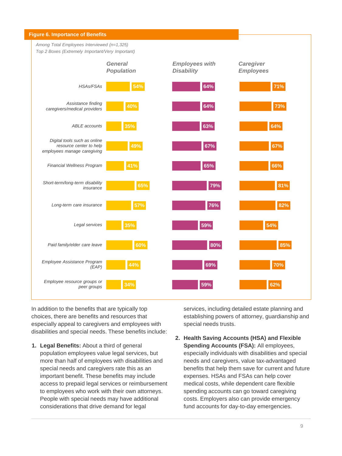

In addition to the benefits that are typically top choices, there are benefits and resources that especially appeal to caregivers and employees with disabilities and special needs. These benefits include:

**1. Legal Benefits:** About a third of general population employees value legal services, but more than half of employees with disabilities and special needs and caregivers rate this as an important benefit. These benefits may include access to prepaid legal services or reimbursement to employees who work with their own attorneys. People with special needs may have additional considerations that drive demand for legal

services, including detailed estate planning and establishing powers of attorney, guardianship and special needs trusts.

**2. Health Saving Accounts (HSA) and Flexible Spending Accounts (FSA):** All employees, especially individuals with disabilities and special needs and caregivers, value tax-advantaged benefits that help them save for current and future expenses. HSAs and FSAs can help cover medical costs, while dependent care flexible spending accounts can go toward caregiving costs. Employers also can provide emergency fund accounts for day-to-day emergencies.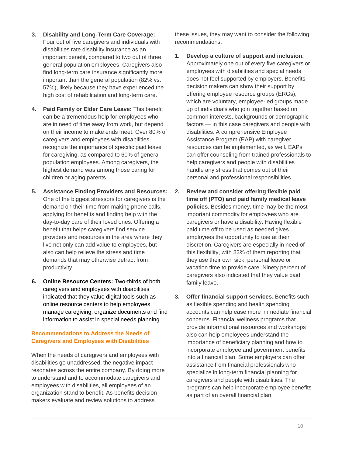- **3. Disability and Long-Term Care Coverage:** Four out of five caregivers and individuals with disabilities rate disability insurance as an important benefit, compared to two out of three general population employees. Caregivers also find long-term care insurance significantly more important than the general population (82% vs. 57%), likely because they have experienced the high cost of rehabilitation and long-term care.
- **4. Paid Family or Elder Care Leave:** This benefit can be a tremendous help for employees who are in need of time away from work, but depend on their income to make ends meet. Over 80% of caregivers and employees with disabilities recognize the importance of specific paid leave for caregiving, as compared to 60% of general population employees. Among caregivers, the highest demand was among those caring for children or aging parents.
- **5. Assistance Finding Providers and Resources:**  One of the biggest stressors for caregivers is the demand on their time from making phone calls, applying for benefits and finding help with the day-to-day care of their loved ones. Offering a benefit that helps caregivers find service providers and resources in the area where they live not only can add value to employees, but also can help relieve the stress and time demands that may otherwise detract from productivity.
- **6. Online Resource Centers:** Two-thirds of both caregivers and employees with disabilities indicated that they value digital tools such as online resource centers to help employees manage caregiving, organize documents and find information to assist in special needs planning.

# **Recommendations to Address the Needs of Caregivers and Employees with Disabilities**

When the needs of caregivers and employees with disabilities go unaddressed, the negative impact resonates across the entire company. By doing more to understand and to accommodate caregivers and employees with disabilities, all employees of an organization stand to benefit. As benefits decision makers evaluate and review solutions to address

these issues, they may want to consider the following recommendations:

- **1. Develop a culture of support and inclusion.**  Approximately one out of every five caregivers or employees with disabilities and special needs does not feel supported by employers. Benefits decision makers can show their support by offering employee resource groups (ERGs), which are voluntary, employee-led groups made up of individuals who join together based on common interests, backgrounds or demographic factors — in this case caregivers and people with disabilities. A comprehensive Employee Assistance Program (EAP) with caregiver resources can be implemented, as well. EAPs can offer counseling from trained professionals to help caregivers and people with disabilities handle any stress that comes out of their personal and professional responsibilities.
- **2. Review and consider offering flexible paid time off (PTO) and paid family medical leave policies.** Besides money, time may be the most important commodity for employees who are caregivers or have a disability. Having flexible paid time off to be used as needed gives employees the opportunity to use at their discretion. Caregivers are especially in need of this flexibility, with 83% of them reporting that they use their own sick, personal leave or vacation time to provide care. Ninety percent of caregivers also indicated that they value paid family leave.
- **3. Offer financial support services.** Benefits such as flexible spending and health spending accounts can help ease more immediate financial concerns. Financial wellness programs that provide informational resources and workshops also can help employees understand the importance of beneficiary planning and how to incorporate employee and government benefits into a financial plan. Some employers can offer assistance from financial professionals who specialize in long-term financial planning for caregivers and people with disabilities. The programs can help incorporate employee benefits as part of an overall financial plan.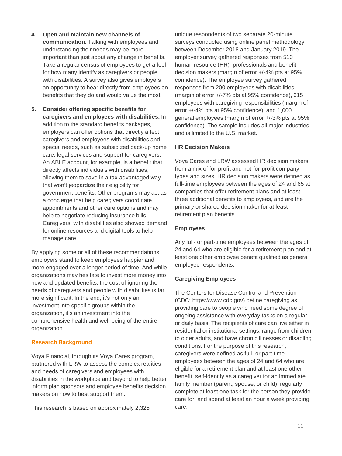- **4. Open and maintain new channels of communication.** Talking with employees and understanding their needs may be more important than just about any change in benefits. Take a regular census of employees to get a feel for how many identify as caregivers or people with disabilities. A survey also gives employers an opportunity to hear directly from employees on benefits that they do and would value the most.
- **5. Consider offering specific benefits for caregivers and employees with disabilities.** In addition to the standard benefits packages, employers can offer options that directly affect caregivers and employees with disabilities and special needs, such as subsidized back-up home care, legal services and support for caregivers. An ABLE account, for example, is a benefit that directly affects individuals with disabilities, allowing them to save in a tax-advantaged way that won't jeopardize their eligibility for government benefits. Other programs may act as a concierge that help caregivers coordinate appointments and other care options and may help to negotiate reducing insurance bills. Caregivers with disabilities also showed demand for online resources and digital tools to help manage care.

By applying some or all of these recommendations, employers stand to keep employees happier and more engaged over a longer period of time. And while organizations may hesitate to invest more money into new and updated benefits, the cost of ignoring the needs of caregivers and people with disabilities is far more significant. In the end, it's not only an investment into specific groups within the organization, it's an investment into the comprehensive health and well-being of the entire organization.

### **Research Background**

Voya Financial, through its Voya Cares program, partnered with LRW to assess the complex realities and needs of caregivers and employees with disabilities in the workplace and beyond to help better inform plan sponsors and employee benefits decision makers on how to best support them.

This research is based on approximately 2,325

unique respondents of two separate 20-minute surveys conducted using online panel methodology between December 2018 and January 2019. The employer survey gathered responses from 510 human resource (HR) professionals and benefit decision makers (margin of error +/-4% pts at 95% confidence). The employee survey gathered responses from 200 employees with disabilities (margin of error +/-7% pts at 95% confidence), 615 employees with caregiving responsibilities (margin of error +/-4% pts at 95% confidence), and 1,000 general employees (margin of error +/-3% pts at 95% confidence). The sample includes all major industries and is limited to the U.S. market.

# **HR Decision Makers**

Voya Cares and LRW assessed HR decision makers from a mix of for-profit and not-for-profit company types and sizes. HR decision makers were defined as full-time employees between the ages of 24 and 65 at companies that offer retirement plans and at least three additional benefits to employees, and are the primary or shared decision maker for at least retirement plan benefits.

### **Employees**

Any full- or part-time employees between the ages of 24 and 64 who are eligible for a retirement plan and at least one other employee benefit qualified as general employee respondents.

# **Caregiving Employees**

The Centers for Disease Control and Prevention (CDC; https://www.cdc.gov) define caregiving as providing care to people who need some degree of ongoing assistance with everyday tasks on a regular or daily basis. The recipients of care can live either in residential or institutional settings, range from children to older adults, and have chronic illnesses or disabling conditions. For the purpose of this research, caregivers were defined as full- or part-time employees between the ages of 24 and 64 who are eligible for a retirement plan and at least one other benefit, self-identify as a caregiver for an immediate family member (parent, spouse, or child), regularly complete at least one task for the person they provide care for, and spend at least an hour a week providing care.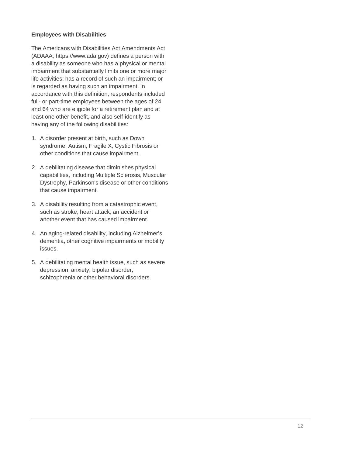### **Employees with Disabilities**

The Americans with Disabilities Act Amendments Act (ADAAA; https://www.ada.gov) defines a person with a disability as someone who has a physical or mental impairment that substantially limits one or more major life activities; has a record of such an impairment; or is regarded as having such an impairment. In accordance with this definition, respondents included full- or part-time employees between the ages of 24 and 64 who are eligible for a retirement plan and at least one other benefit, and also self-identify as having any of the following disabilities:

- 1. A disorder present at birth, such as Down syndrome, Autism, Fragile X, Cystic Fibrosis or other conditions that cause impairment.
- 2. A debilitating disease that diminishes physical capabilities, including Multiple Sclerosis, Muscular Dystrophy, Parkinson's disease or other conditions that cause impairment.
- 3. A disability resulting from a catastrophic event, such as stroke, heart attack, an accident or another event that has caused impairment.
- 4. An aging-related disability, including Alzheimer's, dementia, other cognitive impairments or mobility issues.
- 5. A debilitating mental health issue, such as severe depression, anxiety, bipolar disorder, schizophrenia or other behavioral disorders.